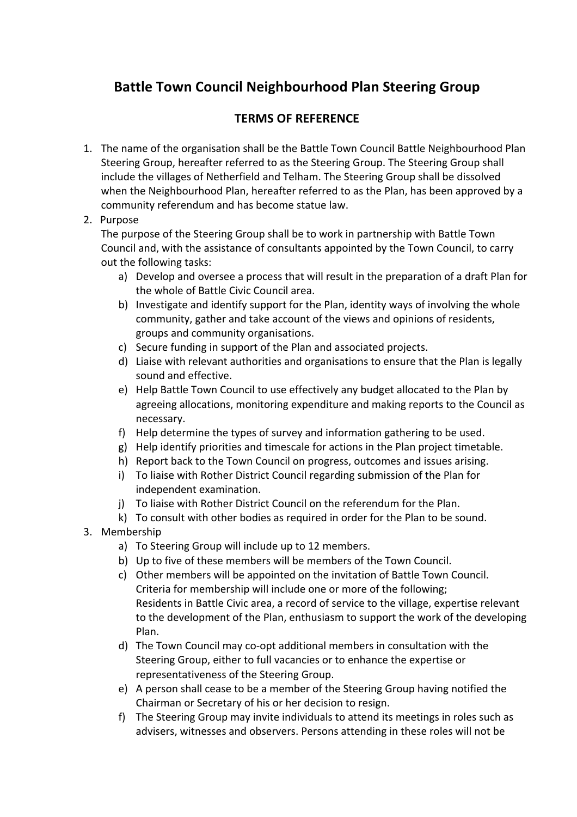## **Battle Town Council Neighbourhood Plan Steering Group**

## **TERMS&OF&REFERENCE**

- 1. The name of the organisation shall be the Battle Town Council Battle Neighbourhood Plan Steering Group, hereafter referred to as the Steering Group. The Steering Group shall include the villages of Netherfield and Telham. The Steering Group shall be dissolved when the Neighbourhood Plan, hereafter referred to as the Plan, has been approved by a community referendum and has become statue law.
- 2. Purpose

The purpose of the Steering Group shall be to work in partnership with Battle Town Council and, with the assistance of consultants appointed by the Town Council, to carry out the following tasks:

- a) Develop and oversee a process that will result in the preparation of a draft Plan for the whole of Battle Civic Council area.
- b) Investigate and identify support for the Plan, identity ways of involving the whole community, gather and take account of the views and opinions of residents, groups and community organisations.
- c) Secure funding in support of the Plan and associated projects.
- d) Liaise with relevant authorities and organisations to ensure that the Plan is legally sound and effective.
- e) Help Battle Town Council to use effectively any budget allocated to the Plan by agreeing allocations, monitoring expenditure and making reports to the Council as necessary.
- f) Help determine the types of survey and information gathering to be used.
- g) Help identify priorities and timescale for actions in the Plan project timetable.
- h) Report back to the Town Council on progress, outcomes and issues arising.
- i) To liaise with Rother District Council regarding submission of the Plan for independent examination.
- j) To liaise with Rother District Council on the referendum for the Plan.
- k) To consult with other bodies as required in order for the Plan to be sound.
- 3. Membership
	- a) To Steering Group will include up to 12 members.
	- b) Up to five of these members will be members of the Town Council.
	- c) Other members will be appointed on the invitation of Battle Town Council. Criteria for membership will include one or more of the following; Residents in Battle Civic area, a record of service to the village, expertise relevant to the development of the Plan, enthusiasm to support the work of the developing Plan.
	- d) The Town Council may co-opt additional members in consultation with the Steering Group, either to full vacancies or to enhance the expertise or representativeness of the Steering Group.
	- e) A person shall cease to be a member of the Steering Group having notified the Chairman or Secretary of his or her decision to resign.
	- f) The Steering Group may invite individuals to attend its meetings in roles such as advisers, witnesses and observers. Persons attending in these roles will not be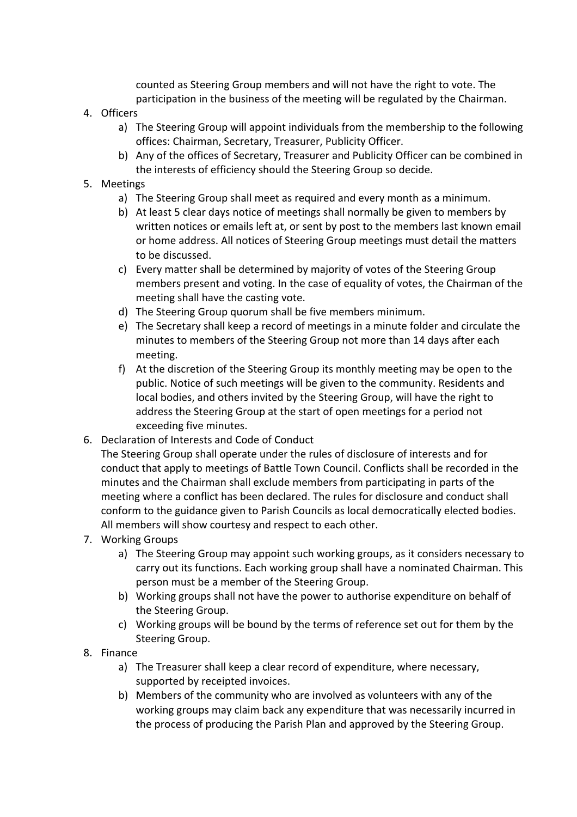counted as Steering Group members and will not have the right to vote. The participation in the business of the meeting will be regulated by the Chairman.

- 4. Officers
	- a) The Steering Group will appoint individuals from the membership to the following offices: Chairman, Secretary, Treasurer, Publicity Officer.
	- b) Any of the offices of Secretary, Treasurer and Publicity Officer can be combined in the interests of efficiency should the Steering Group so decide.
- 5. Meetings
	- a) The Steering Group shall meet as required and every month as a minimum.
	- b) At least 5 clear days notice of meetings shall normally be given to members by written notices or emails left at, or sent by post to the members last known email or home address. All notices of Steering Group meetings must detail the matters to be discussed.
	- c) Every matter shall be determined by majority of votes of the Steering Group members present and voting. In the case of equality of votes, the Chairman of the meeting shall have the casting vote.
	- d) The Steering Group quorum shall be five members minimum.
	- e) The Secretary shall keep a record of meetings in a minute folder and circulate the minutes to members of the Steering Group not more than 14 days after each meeting.
	- f) At the discretion of the Steering Group its monthly meeting may be open to the public. Notice of such meetings will be given to the community. Residents and local bodies, and others invited by the Steering Group, will have the right to address the Steering Group at the start of open meetings for a period not exceeding five minutes.
- 6. Declaration of Interests and Code of Conduct

The Steering Group shall operate under the rules of disclosure of interests and for conduct that apply to meetings of Battle Town Council. Conflicts shall be recorded in the minutes and the Chairman shall exclude members from participating in parts of the meeting where a conflict has been declared. The rules for disclosure and conduct shall conform to the guidance given to Parish Councils as local democratically elected bodies. All members will show courtesy and respect to each other.

- 7. Working Groups
	- a) The Steering Group may appoint such working groups, as it considers necessary to carry out its functions. Each working group shall have a nominated Chairman. This person must be a member of the Steering Group.
	- b) Working groups shall not have the power to authorise expenditure on behalf of the Steering Group.
	- c) Working groups will be bound by the terms of reference set out for them by the Steering Group.
- 8. Finance
	- a) The Treasurer shall keep a clear record of expenditure, where necessary, supported by receipted invoices.
	- b) Members of the community who are involved as volunteers with any of the working groups may claim back any expenditure that was necessarily incurred in the process of producing the Parish Plan and approved by the Steering Group.